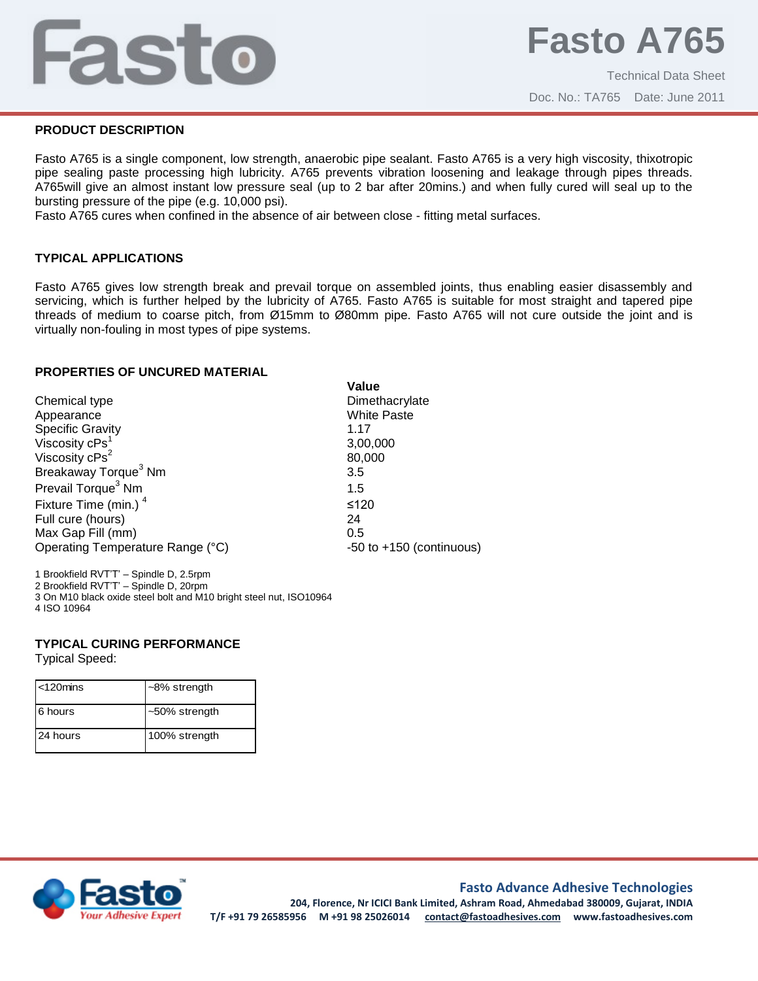# Fasto

# **PRODUCT DESCRIPTION**

Fasto A765 is a single component, low strength, anaerobic pipe sealant. Fasto A765 is a very high viscosity, thixotropic pipe sealing paste processing high lubricity. A765 prevents vibration loosening and leakage through pipes threads. A765will give an almost instant low pressure seal (up to 2 bar after 20mins.) and when fully cured will seal up to the bursting pressure of the pipe (e.g. 10,000 psi).

Fasto A765 cures when confined in the absence of air between close - fitting metal surfaces.

# **TYPICAL APPLICATIONS**

Fasto A765 gives low strength break and prevail torque on assembled joints, thus enabling easier disassembly and servicing, which is further helped by the lubricity of A765. Fasto A765 is suitable for most straight and tapered pipe threads of medium to coarse pitch, from Ø15mm to Ø80mm pipe. Fasto A765 will not cure outside the joint and is virtually non-fouling in most types of pipe systems.

## **PROPERTIES OF UNCURED MATERIAL**

| Chemical type                    | Dim    |
|----------------------------------|--------|
| Appearance                       | Whit   |
| <b>Specific Gravity</b>          | 1.17   |
| Viscosity cPs <sup>1</sup>       | 3,00   |
| Viscosity $cPs^2$                | 80,0   |
| Breakaway Torque <sup>3</sup> Nm | 3.5    |
| Prevail Torque <sup>3</sup> Nm   | 1.5    |
| Fixture Time (min.) <sup>4</sup> | $≤120$ |
| Full cure (hours)                | 24     |
| Max Gap Fill (mm)                | 0.5    |
| Operating Temperature Range (°C) | -50 t  |

**Value** Dimethacrylate **White Paste** 3,00,000 80,000 ≤120  $-50$  to  $+150$  (continuous)

1 Brookfield RVT'T' – Spindle D, 2.5rpm 2 Brookfield RVT'T' – Spindle D, 20rpm

3 On M10 black oxide steel bolt and M10 bright steel nut, ISO10964

4 ISO 10964

## **TYPICAL CURING PERFORMANCE**

Typical Speed:

| $\leq$ 120 $\text{mins}$ | $~-8\%$ strength |
|--------------------------|------------------|
| 6 hours                  | $~50\%$ strength |
| 24 hours                 | 100% strength    |



## **Fasto Advance Adhesive Technologies**

**204, Florence, Nr ICICI Bank Limited, Ashram Road, Ahmedabad 380009, Gujarat, INDIA T/F +91 79 26585956 M +91 98 25026014 contact@fastoadhesives.com www.fastoadhesives.com**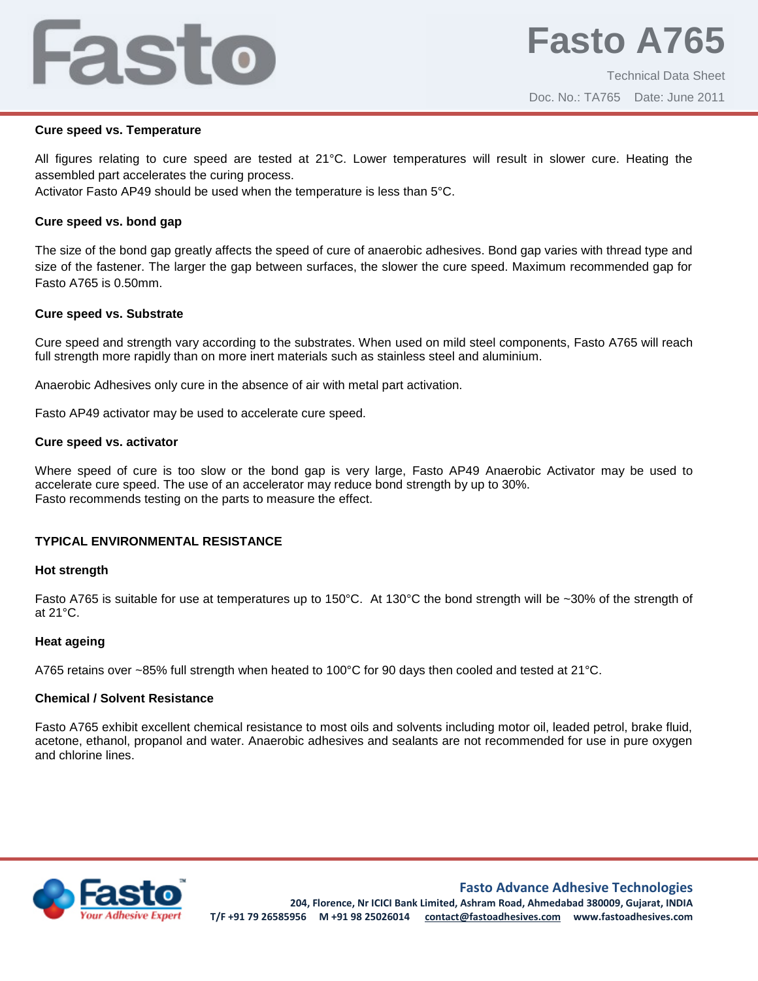# Fasto

# **Cure speed vs. Temperature**

All figures relating to cure speed are tested at 21°C. Lower temperatures will result in slower cure. Heating the assembled part accelerates the curing process.

Activator Fasto AP49 should be used when the temperature is less than 5°C.

# **Cure speed vs. bond gap**

The size of the bond gap greatly affects the speed of cure of anaerobic adhesives. Bond gap varies with thread type and size of the fastener. The larger the gap between surfaces, the slower the cure speed. Maximum recommended gap for Fasto A765 is 0.50mm.

# **Cure speed vs. Substrate**

Cure speed and strength vary according to the substrates. When used on mild steel components, Fasto A765 will reach full strength more rapidly than on more inert materials such as stainless steel and aluminium.

Anaerobic Adhesives only cure in the absence of air with metal part activation.

Fasto AP49 activator may be used to accelerate cure speed.

## **Cure speed vs. activator**

Where speed of cure is too slow or the bond gap is very large, Fasto AP49 Anaerobic Activator may be used to accelerate cure speed. The use of an accelerator may reduce bond strength by up to 30%. Fasto recommends testing on the parts to measure the effect.

# **TYPICAL ENVIRONMENTAL RESISTANCE**

## **Hot strength**

Fasto A765 is suitable for use at temperatures up to 150°C. At 130°C the bond strength will be ~30% of the strength of at 21°C.

## **Heat ageing**

A765 retains over ~85% full strength when heated to 100°C for 90 days then cooled and tested at 21°C.

## **Chemical / Solvent Resistance**

Fasto A765 exhibit excellent chemical resistance to most oils and solvents including motor oil, leaded petrol, brake fluid, acetone, ethanol, propanol and water. Anaerobic adhesives and sealants are not recommended for use in pure oxygen and chlorine lines.



**Fasto Advance Adhesive Technologies**

**204, Florence, Nr ICICI Bank Limited, Ashram Road, Ahmedabad 380009, Gujarat, INDIA T/F +91 79 26585956 M +91 98 25026014 contact@fastoadhesives.com www.fastoadhesives.com**